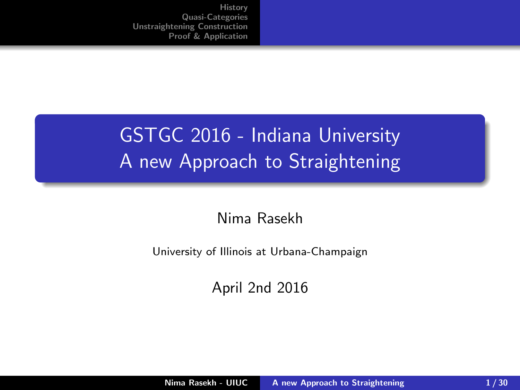# <span id="page-0-0"></span>GSTGC 2016 - Indiana University A new Approach to Straightening

#### Nima Rasekh

University of Illinois at Urbana-Champaign

April 2nd 2016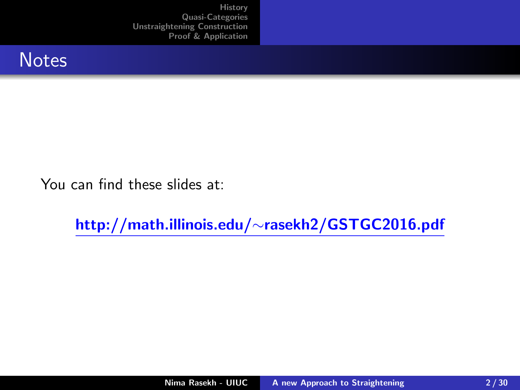

You can find these slides at:

http://math.illinois.edu/∼rasekh2/GSTGC2016.pdf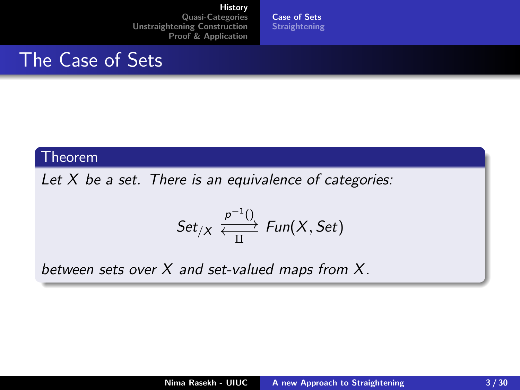[Case of Sets](#page-2-0) **[Straightening](#page-6-0)** 

### <span id="page-2-0"></span>The Case of Sets

#### Theorem

Let  $X$  be a set. There is an equivalence of categories:

$$
Set_{/X} \xleftarrow{\frac{p^{-1}()}{\prod}} Fun(X, Set)
$$

between sets over  $X$  and set-valued maps from  $X$ .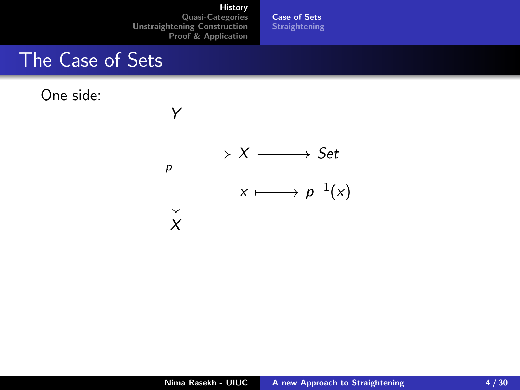[Case of Sets](#page-2-0) [Straightening](#page-6-0)

### The Case of Sets

One side:

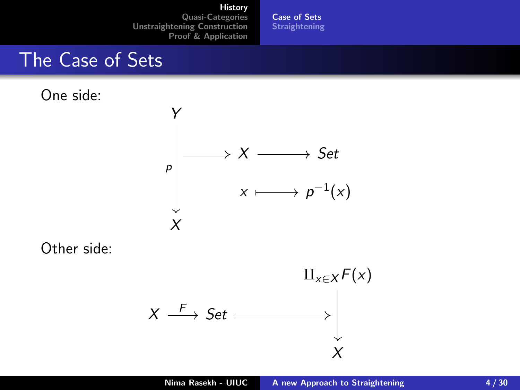[Case of Sets](#page-2-0) **[Straightening](#page-6-0)** 

### The Case of Sets

One side:



Other side:

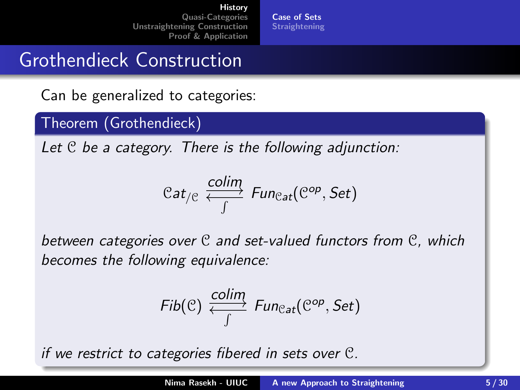[Case of Sets](#page-2-0) **[Straightening](#page-6-0)** 

## Grothendieck Construction

#### Can be generalized to categories:

#### Theorem (Grothendieck)

Let  $C$  be a category. There is the following adjunction:

$$
\mathcal{C}at_{/C}\xleftarrow{\text{colim}}_{\int}\text{Fun}_{\mathcal{C}at}(\mathcal{C}^{op},\text{Set})
$$

between categories over C and set-valued functors from C, which becomes the following equivalence:

$$
\mathit{Fib}(\mathcal{C}) \xleftrightarrow{\mathit{colim}}_{\int} \mathit{Fun}_{\mathcal{C}at}(\mathcal{C}^{op},\mathcal{S}et)
$$

if we restrict to categories fibered in sets over C.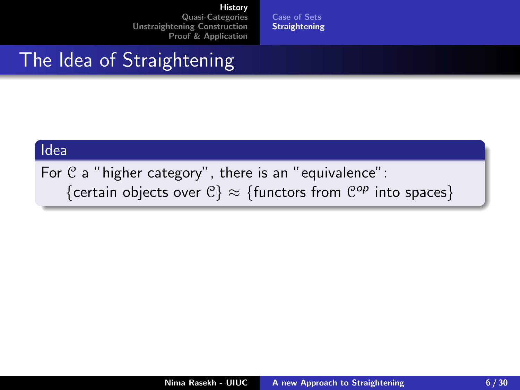[Case of Sets](#page-2-0) [Straightening](#page-9-0)

## <span id="page-6-0"></span>The Idea of Straightening

#### Idea

For  $C$  a "higher category", there is an "equivalence": {certain objects over  $\mathcal{C}$ }  $\approx$  {functors from  $\mathcal{C}^{op}$  into spaces}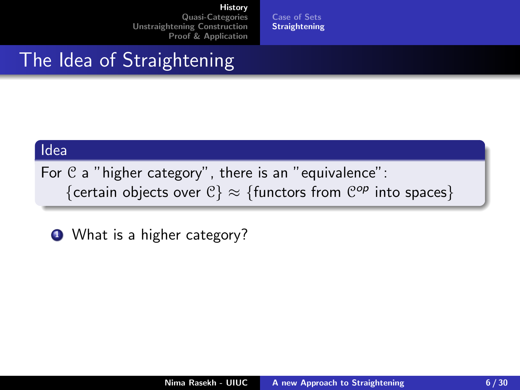[Case of Sets](#page-2-0) **[Straightening](#page-9-0)** 

## The Idea of Straightening

#### Idea

For  $C$  a "higher category", there is an "equivalence": {certain objects over  $\mathcal{C}$ }  $\approx$  {functors from  $\mathcal{C}^{op}$  into spaces}

**1** What is a higher category?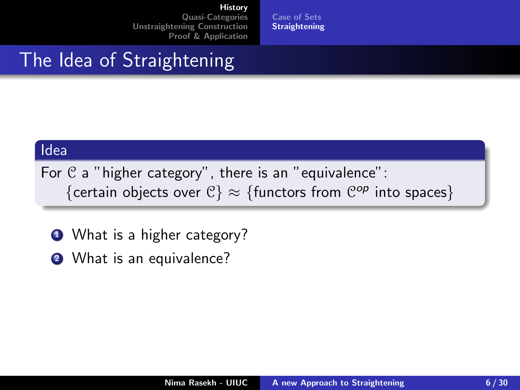[Case of Sets](#page-2-0) **[Straightening](#page-9-0)** 

## The Idea of Straightening

#### Idea

For  $C$  a "higher category", there is an "equivalence": {certain objects over  $\mathcal{C}$ }  $\approx$  {functors from  $\mathcal{C}^{op}$  into spaces}

- **1** What is a higher category?
- **2** What is an equivalence?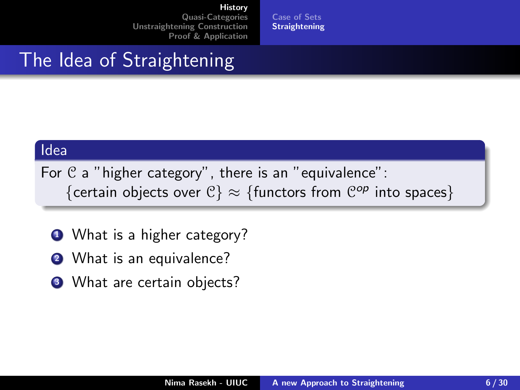[Case of Sets](#page-2-0) **[Straightening](#page-6-0)** 

## <span id="page-9-0"></span>The Idea of Straightening

#### Idea

For  $C$  a "higher category", there is an "equivalence": {certain objects over  $\mathcal{C}$ }  $\approx$  {functors from  $\mathcal{C}^{op}$  into spaces}

- **1** What is a higher category?
- **2** What is an equivalence?
- <sup>3</sup> What are certain objects?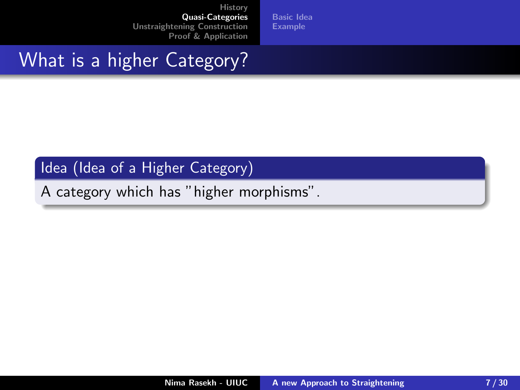[Basic Idea](#page-13-0) [Example](#page-16-0)

# <span id="page-10-0"></span>What is a higher Category?

#### Idea (Idea of a Higher Category)

A category which has "higher morphisms".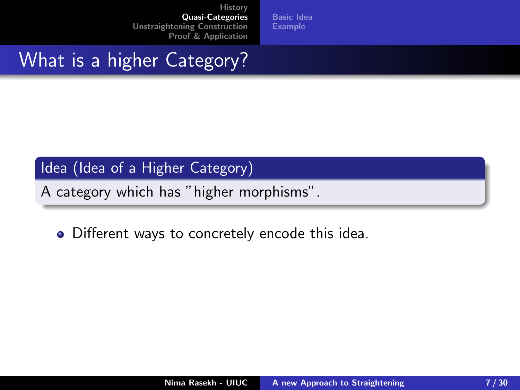[Basic Idea](#page-13-0) [Example](#page-16-0)

# What is a higher Category?

#### Idea (Idea of a Higher Category)

A category which has "higher morphisms".

• Different ways to concretely encode this idea.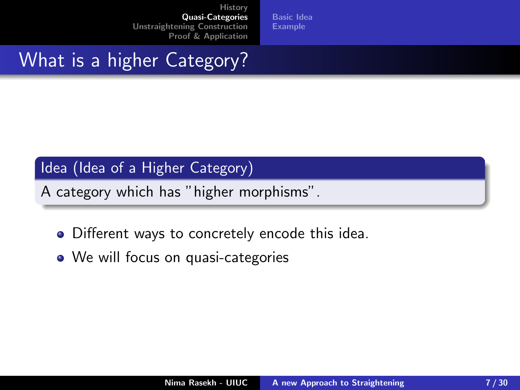[Basic Idea](#page-13-0) [Example](#page-16-0)

# What is a higher Category?

#### Idea (Idea of a Higher Category)

A category which has "higher morphisms".

- Different ways to concretely encode this idea.
- We will focus on quasi-categories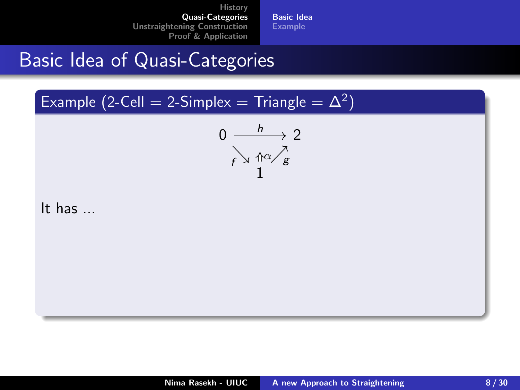[Basic Idea](#page-15-0) [Example](#page-16-0)

## <span id="page-13-0"></span>Basic Idea of Quasi-Categories

Example (2-Cell = 2-Simplex = Triangle =  $\Delta^2$ )

$$
0 \xrightarrow{\phantom{a}\smash{\hbar}} 2 \xrightarrow{\phantom{a}\smash{\hbar}} 2 \xrightarrow{\phantom{a}\smash{\hbar}} 2 \xrightarrow{\phantom{a}\smash{\hbar}} 2
$$

It has ...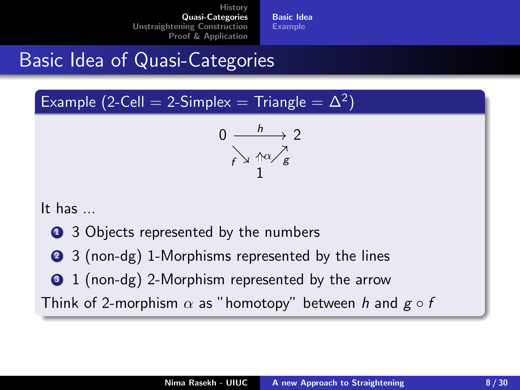[Basic Idea](#page-15-0) [Example](#page-16-0)

# Basic Idea of Quasi-Categories

Example (2-Cell = 2-Simplex = Triangle =  $\Delta^2$ )

$$
0 \xrightarrow{h} 2
$$
  
 $f \searrow \frac{\wedge \alpha}{1} g$ 

It has ...

- **1** 3 Objects represented by the numbers
- 2 3 (non-dg) 1-Morphisms represented by the lines
- **3** 1 (non-dg) 2-Morphism represented by the arrow

Think of 2-morphism  $\alpha$  as "homotopy" between h and  $g \circ f$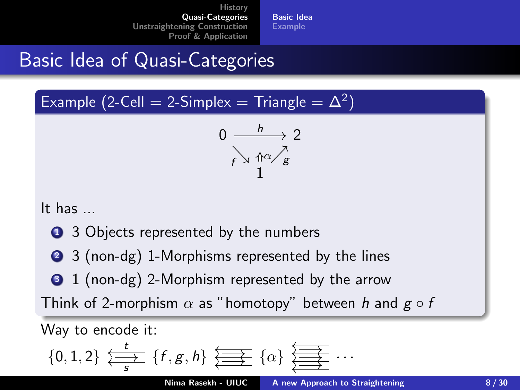[Basic Idea](#page-13-0) [Example](#page-16-0)

# <span id="page-15-0"></span>Basic Idea of Quasi-Categories

Example (2-Cell = 2-Simplex = Triangle =  $\Delta^2$ )

$$
0 \xrightarrow{h} 2
$$
  
 $f \searrow \frac{\wedge \alpha}{1} g$ 

It has ...

- **1** 3 Objects represented by the numbers
- 2 3 (non-dg) 1-Morphisms represented by the lines
- **3** 1 (non-dg) 2-Morphism represented by the arrow

Think of 2-morphism  $\alpha$  as "homotopy" between h and  $g \circ f$ 

Way to encode it:

$$
\{0,1,2\} \leftrightarrow \{\overline{f},g,h\} \leftrightarrow \{\alpha\} \leftrightarrow \{\overline{f}\} \leftrightarrow \cdots
$$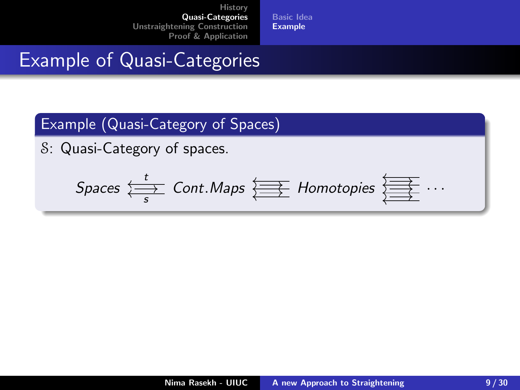[Basic Idea](#page-13-0) [Example](#page-17-0)

## <span id="page-16-0"></span>Example of Quasi-Categories

#### Example (Quasi-Category of Spaces)

S: Quasi-Category of spaces.

$$
Spaces \leftrightarrow \atop s
$$
 
$$
Cont. Maps \leftrightarrow \atop \overbrace{\Longleftrightarrow} Homotopies \leftrightarrow \atop \overbrace{\Longleftrightarrow} \cdots
$$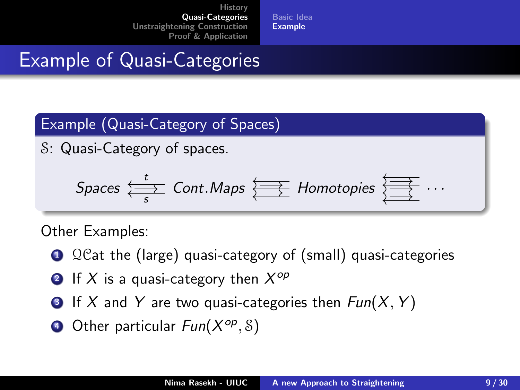[Basic Idea](#page-13-0) [Example](#page-16-0)

# <span id="page-17-0"></span>Example of Quasi-Categories

#### Example (Quasi-Category of Spaces)

S: Quasi-Category of spaces.

$$
Spaces \leftrightarrow \atop s
$$
 
$$
Cont. Maps \leftrightarrow \atop s
$$
 
$$
Homotopies \leftrightarrow \atop s
$$
 
$$
\overline{\phantom{se}} \cdots
$$

Other Examples:

- **1** QCat the (large) quasi-category of (small) quasi-categories
- **2** If  $X$  is a quasi-category then  $X^{op}$
- **3** If X and Y are two quasi-categories then  $Fun(X, Y)$
- **4** Other particular  $Fun(X^{op}, \mathcal{S})$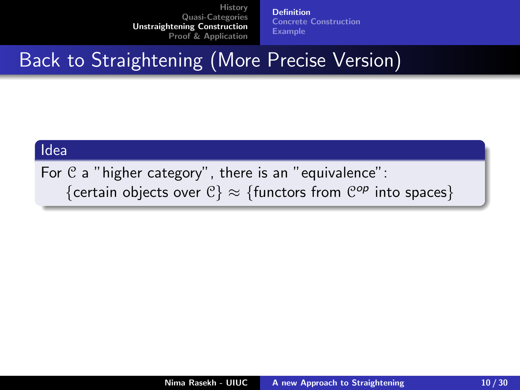[Definition](#page-19-0) [Concrete Construction](#page-22-0) [Example](#page-29-0)

# <span id="page-18-0"></span>Back to Straightening (More Precise Version)

#### Idea

For  $C$  a "higher category", there is an "equivalence": {certain objects over  $\mathcal{C}$ }  $\approx$  {functors from  $\mathcal{C}^{op}$  into spaces}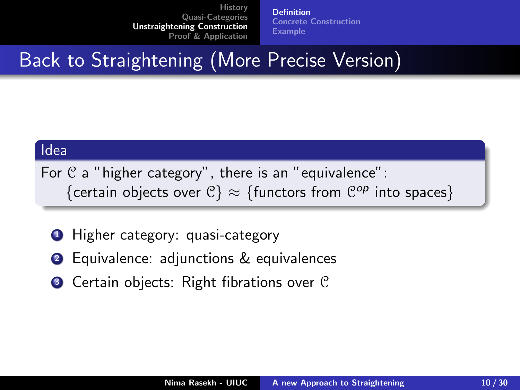[Definition](#page-18-0) [Concrete Construction](#page-22-0) [Example](#page-29-0)

# <span id="page-19-0"></span>Back to Straightening (More Precise Version)

#### Idea

For  $C$  a "higher category", there is an "equivalence": {certain objects over  $\mathcal{C}$ }  $\approx$  {functors from  $\mathcal{C}^{op}$  into spaces}

- **1** Higher category: quasi-category
- <sup>2</sup> Equivalence: adjunctions & equivalences
- **3** Certain objects: Right fibrations over C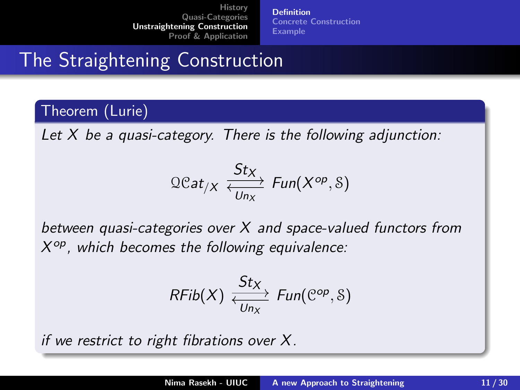[Definition](#page-18-0) [Concrete Construction](#page-22-0) [Example](#page-29-0)

The Straightening Construction

#### Theorem (Lurie)

Let  $X$  be a quasi-category. There is the following adjunction:

$$
\Omega Cat_{/X} \xleftrightarrow{\mathcal{S}tx}_{U_{n_X}} \text{Fun}(X^{op}, \text{\&})
$$

between quasi-categories over  $X$  and space-valued functors from  $X^{op}$ , which becomes the following equivalence:

$$
\mathit{RFib}(X) \xleftrightarrow{\mathit{St}_X}_{Un_X} \mathit{Fun}(\mathcal{C}^{op}, \mathcal{S})
$$

if we restrict to right fibrations over X.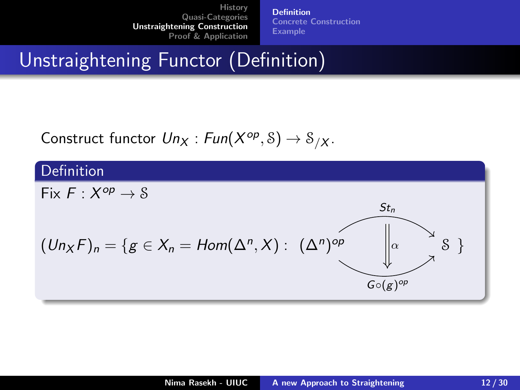[Definition](#page-18-0) [Concrete Construction](#page-22-0) [Example](#page-29-0)

# Unstraightening Functor (Definition)

Construct functor  $Un_X : Fun(X^{op}, S) \rightarrow S_{/X}$ .

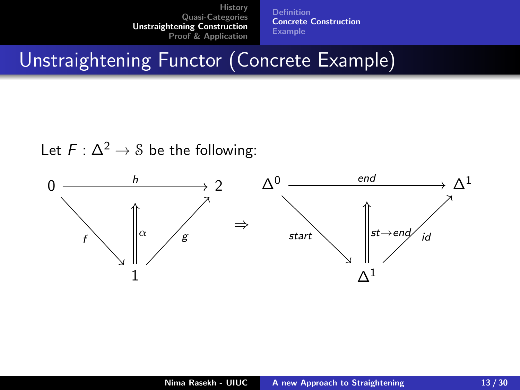[Definition](#page-18-0) [Concrete Construction](#page-22-0) [Example](#page-29-0)

# <span id="page-22-0"></span>Unstraightening Functor (Concrete Example)

Let  $F: \Delta^2 \rightarrow \mathcal{S}$  be the following:

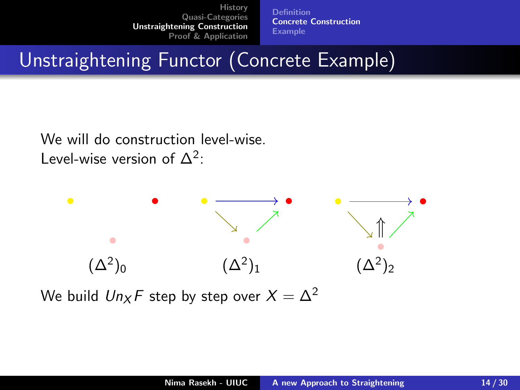[Definition](#page-18-0) [Concrete Construction](#page-22-0) [Example](#page-29-0)

# Unstraightening Functor (Concrete Example)

We will do construction level-wise. Level-wise version of  $\Delta^2$ :



We build  $Un_xF$  step by step over  $X = \Delta^2$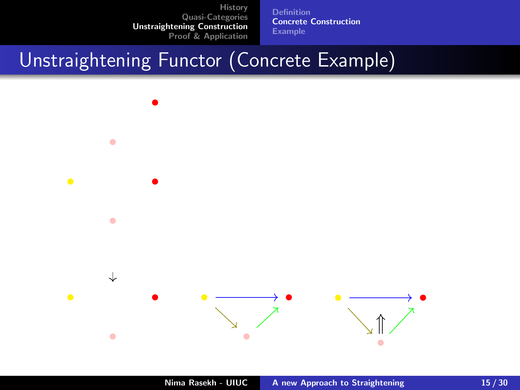[Definition](#page-18-0) [Concrete Construction](#page-22-0) [Example](#page-29-0)

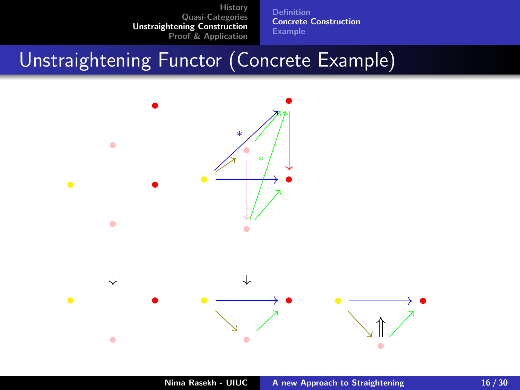[Definition](#page-18-0) [Concrete Construction](#page-22-0) [Example](#page-29-0)

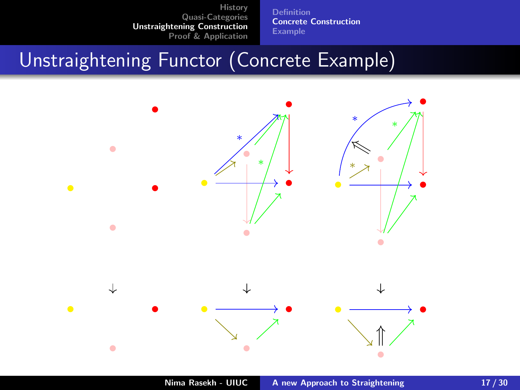[Definition](#page-18-0) [Concrete Construction](#page-22-0) [Example](#page-29-0)

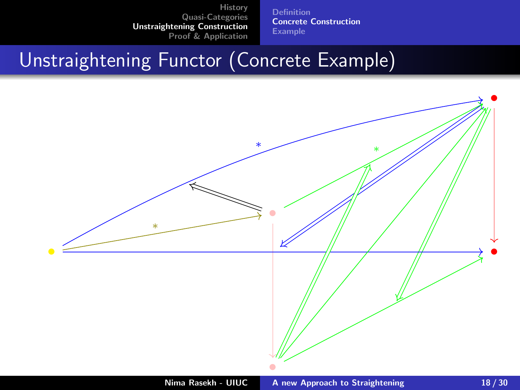[Definition](#page-18-0) [Concrete Construction](#page-22-0) [Example](#page-29-0)

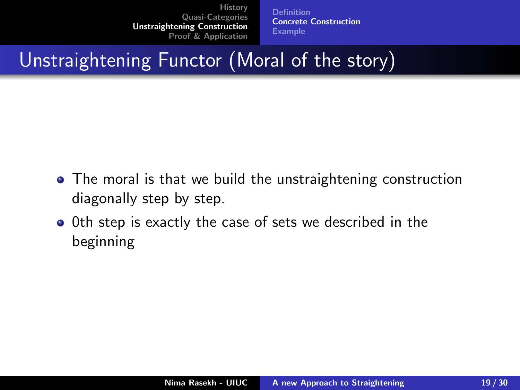[Definition](#page-18-0) [Concrete Construction](#page-22-0) [Example](#page-29-0)

Unstraightening Functor (Moral of the story)

- The moral is that we build the unstraightening construction diagonally step by step.
- 0th step is exactly the case of sets we described in the beginning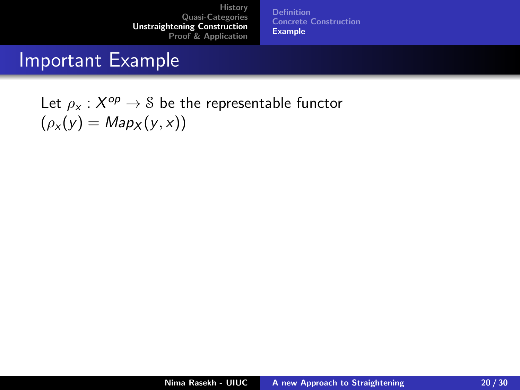[Definition](#page-18-0) [Concrete Construction](#page-22-0) [Example](#page-30-0)

### <span id="page-29-0"></span>Important Example

Let  $\rho_\mathsf{x} : \mathsf{X}^\mathsf{op} \to \mathsf{S}$  be the representable functor  $(\rho_x(y) = Map_x(y, x))$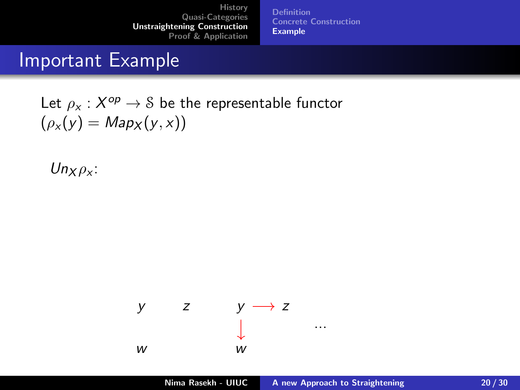[Definition](#page-18-0) [Concrete Construction](#page-22-0) [Example](#page-29-0)

### <span id="page-30-0"></span>Important Example

Let  $\rho_\mathsf{x} : \mathsf{X}^\mathsf{op} \to \mathsf{S}$  be the representable functor  $(\rho_x(y) = Map_x(y, x))$ 

 $Un_{X}\rho_{X}$ :

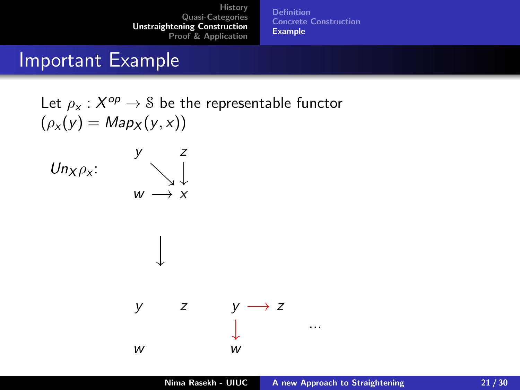[Definition](#page-18-0) [Concrete Construction](#page-22-0) [Example](#page-29-0)

### Important Example

Let  $\rho_\mathsf{x} : \mathsf{X}^\mathsf{op} \to \mathsf{S}$  be the representable functor  $(\rho_x(y) = Map_X(y, x))$ 



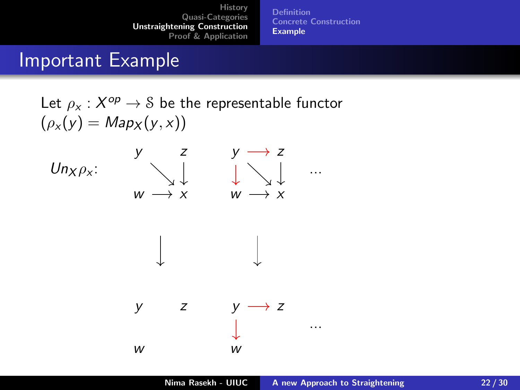[Definition](#page-18-0) [Concrete Construction](#page-22-0) [Example](#page-29-0)

### Important Example

Let  $\rho_\mathsf{x} : \mathsf{X}^\mathsf{op} \to \mathsf{S}$  be the representable functor  $(\rho_x(y) = Map_X(y, x))$ 





$$
\downarrow
$$

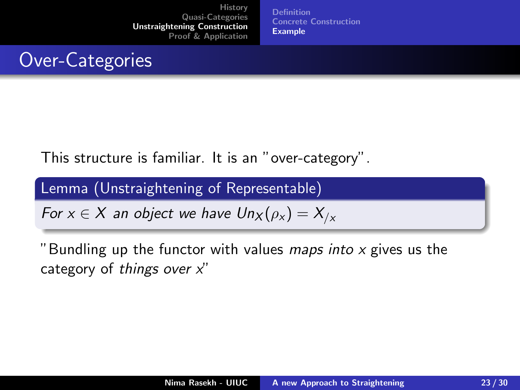[Definition](#page-18-0) [Concrete Construction](#page-22-0) **[Example](#page-29-0)** 

## Over-Categories

This structure is familiar. It is an "over-category".

Lemma (Unstraightening of Representable)

For  $x \in X$  an object we have  $Un_X(\rho_X) = X_{/X}$ 

"Bundling up the functor with values *maps into x* gives us the category of things over  $x''$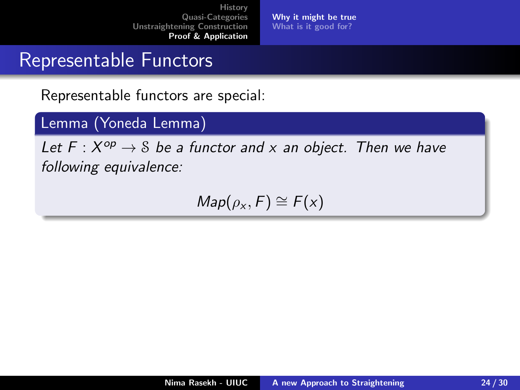[Why it might be true](#page-35-0) [What is it good for?](#page-41-0)

### <span id="page-34-0"></span>Representable Functors

Representable functors are special:

#### Lemma (Yoneda Lemma)

Let  $F: X^{op} \to \mathcal{S}$  be a functor and x an object. Then we have following equivalence:

 $Map(\rho_X, F) \cong F(x)$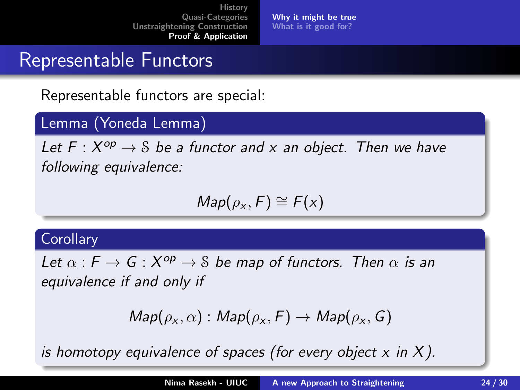[Why it might be true](#page-34-0) [What is it good for?](#page-41-0)

## <span id="page-35-0"></span>Representable Functors

Representable functors are special:

#### Lemma (Yoneda Lemma)

Let  $F: X^{op} \to \mathcal{S}$  be a functor and x an object. Then we have following equivalence:

$$
Map(\rho_x,F)\cong F(x)
$$

#### **Corollary**

Let  $\alpha$  :  $F \to G : X^{op} \to S$  be map of functors. Then  $\alpha$  is an equivalence if and only if

$$
Map(\rho_{x}, \alpha): Map(\rho_{x}, F) \rightarrow Map(\rho_{x}, G)
$$

is homotopy equivalence of spaces (for every object  $x$  in  $X$ ).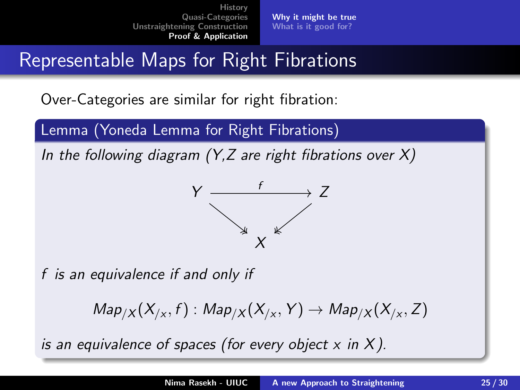[Why it might be true](#page-34-0) [What is it good for?](#page-41-0)

# Representable Maps for Right Fibrations

Over-Categories are similar for right fibration:

Lemma (Yoneda Lemma for Right Fibrations)

In the following diagram  $(Y,Z)$  are right fibrations over X)



f is an equivalence if and only if

 $\mathit{Map}_{/X}(X_{/x},f): \mathit{Map}_{/X}(X_{/x},Y) \rightarrow \mathit{Map}_{/X}(X_{/x},Z)$ 

is an equivalence of spaces (for every object  $x$  in X).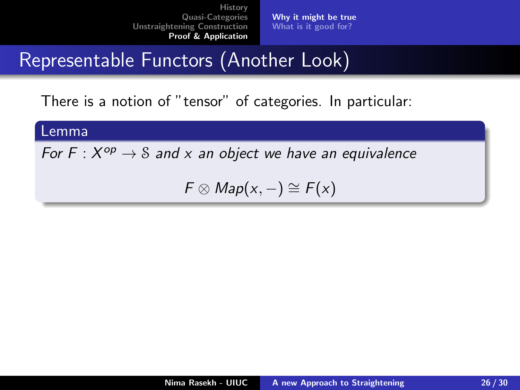[Why it might be true](#page-34-0) [What is it good for?](#page-41-0)

# Representable Functors (Another Look)

There is a notion of "tensor" of categories. In particular:

#### Lemma

For F :  $X^{op} \to S$  and x an object we have an equivalence

 $F \otimes Map(x, -) \cong F(x)$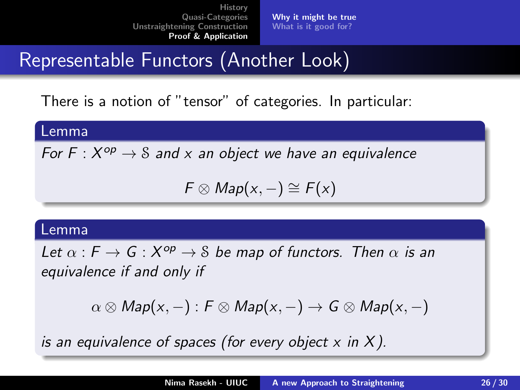[Why it might be true](#page-34-0) [What is it good for?](#page-41-0)

# Representable Functors (Another Look)

There is a notion of "tensor" of categories. In particular:

Lemma

For F :  $X^{op} \to S$  and x an object we have an equivalence

 $F \otimes Map(x, -) \cong F(x)$ 

#### Lemma

Let  $\alpha$  :  $F \to G$  :  $X^{op} \to \mathcal{S}$  be map of functors. Then  $\alpha$  is an equivalence if and only if

$$
\alpha \otimes Map(x, -): F \otimes Map(x, -) \rightarrow G \otimes Map(x, -)
$$

is an equivalence of spaces (for every object  $x$  in  $X$ ).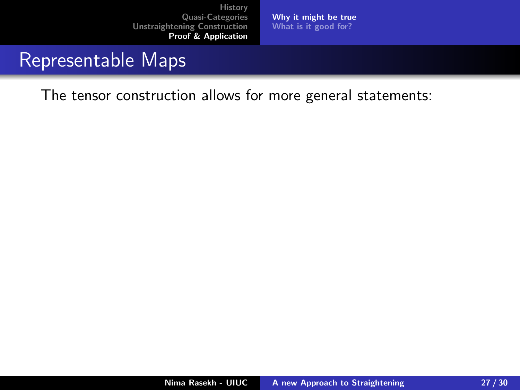[Why it might be true](#page-34-0) [What is it good for?](#page-41-0)

### Representable Maps

The tensor construction allows for more general statements: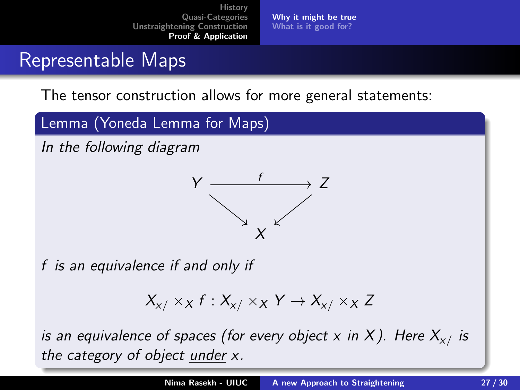[Why it might be true](#page-34-0) [What is it good for?](#page-41-0)

## Representable Maps

The tensor construction allows for more general statements:

Lemma (Yoneda Lemma for Maps)

In the following diagram



f is an equivalence if and only if

 $X_{x}$   $\times_X$  f :  $X_{x}$   $\times_X$  Y  $\rightarrow$   $X_{x}$   $\times_X$  Z

is an equivalence of spaces (for every object x in X). Here  $X_{\mathsf{x}/\mathsf{x}}$  is the category of object under x.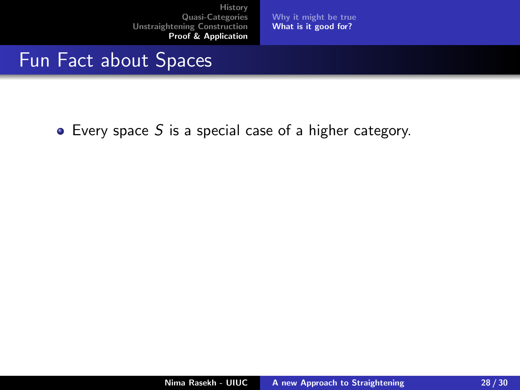[Why it might be true](#page-34-0) [What is it good for?](#page-43-0)

### <span id="page-41-0"></span>Fun Fact about Spaces

 $\bullet$  Every space S is a special case of a higher category.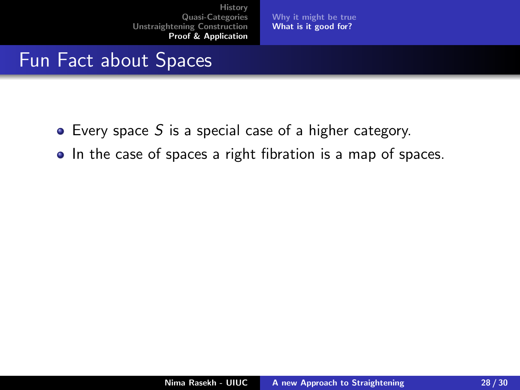[Why it might be true](#page-34-0) [What is it good for?](#page-43-0)

## Fun Fact about Spaces

- $\bullet$  Every space S is a special case of a higher category.
- In the case of spaces a right fibration is a map of spaces.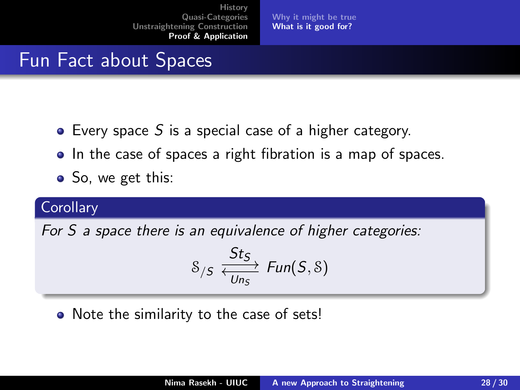[Why it might be true](#page-34-0) [What is it good for?](#page-41-0)

## <span id="page-43-0"></span>Fun Fact about Spaces

- $\bullet$  Every space S is a special case of a higher category.
- In the case of spaces a right fibration is a map of spaces.
- So, we get this:

#### **Corollary**

For S a space there is an equivalence of higher categories:

$$
s_{/S} \xleftrightarrow{\mathcal{S}t_{S}}_{Un_{S}} \text{Fun}(S, \delta)
$$

• Note the similarity to the case of sets!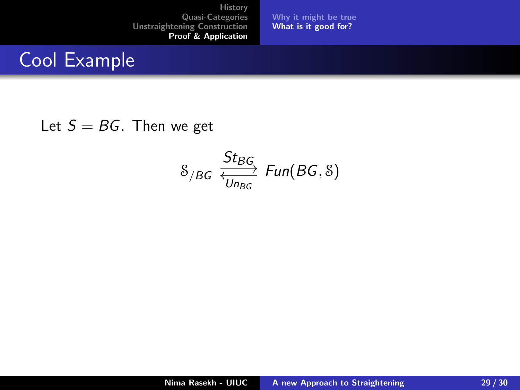[Why it might be true](#page-34-0) [What is it good for?](#page-41-0)

## Cool Example

#### Let  $S = BG$ . Then we get

$$
\mathcal{S}_{/BG} \xrightarrow[\text{Un}_{BGG}]{\text{St}_{BG}} \text{Fun}(BG, \mathcal{S})
$$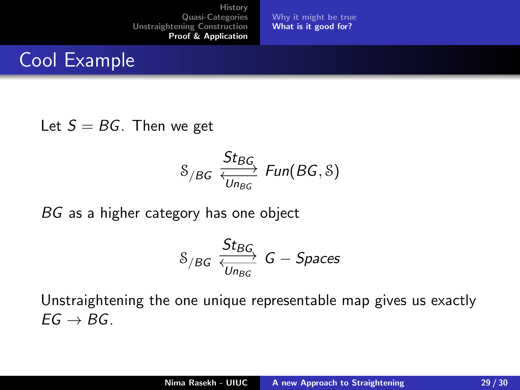[Why it might be true](#page-34-0) [What is it good for?](#page-41-0)

## Cool Example

#### Let  $S = BG$ . Then we get

$$
\mathcal{S}_{/BG} \xleftrightarrow{\mathcal{S}_{t_{BG}} \atop \overline{\mathcal{U}_{n_{BG}}}} \mathit{Fun}(BG, \mathcal{S})
$$

BG as a higher category has one object

$$
\mathcal{S}_{/BG} \xrightarrow[\text{Un}_{BG}]{\text{St}_{BG}} G-\text{Spaces}
$$

Unstraightening the one unique representable map gives us exactly  $FG \rightarrow BG$ .